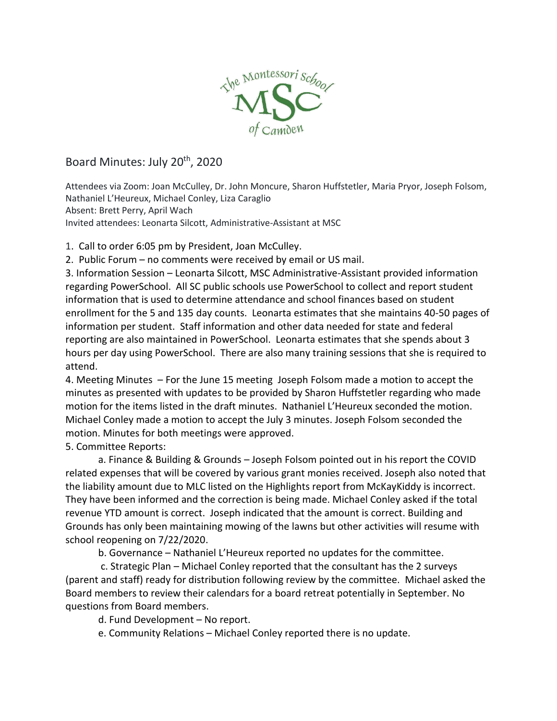

## Board Minutes: July 20th, 2020

Attendees via Zoom: Joan McCulley, Dr. John Moncure, Sharon Huffstetler, Maria Pryor, Joseph Folsom, Nathaniel L'Heureux, Michael Conley, Liza Caraglio Absent: Brett Perry, April Wach Invited attendees: Leonarta Silcott, Administrative-Assistant at MSC

1. Call to order 6:05 pm by President, Joan McCulley.

2. Public Forum – no comments were received by email or US mail.

3. Information Session – Leonarta Silcott, MSC Administrative-Assistant provided information regarding PowerSchool. All SC public schools use PowerSchool to collect and report student information that is used to determine attendance and school finances based on student enrollment for the 5 and 135 day counts. Leonarta estimates that she maintains 40-50 pages of information per student. Staff information and other data needed for state and federal reporting are also maintained in PowerSchool. Leonarta estimates that she spends about 3 hours per day using PowerSchool. There are also many training sessions that she is required to attend.

4. Meeting Minutes – For the June 15 meeting Joseph Folsom made a motion to accept the minutes as presented with updates to be provided by Sharon Huffstetler regarding who made motion for the items listed in the draft minutes. Nathaniel L'Heureux seconded the motion. Michael Conley made a motion to accept the July 3 minutes. Joseph Folsom seconded the motion. Minutes for both meetings were approved.

5. Committee Reports:

a. Finance & Building & Grounds – Joseph Folsom pointed out in his report the COVID related expenses that will be covered by various grant monies received. Joseph also noted that the liability amount due to MLC listed on the Highlights report from McKayKiddy is incorrect. They have been informed and the correction is being made. Michael Conley asked if the total revenue YTD amount is correct. Joseph indicated that the amount is correct. Building and Grounds has only been maintaining mowing of the lawns but other activities will resume with school reopening on 7/22/2020.

b. Governance – Nathaniel L'Heureux reported no updates for the committee.

c. Strategic Plan – Michael Conley reported that the consultant has the 2 surveys (parent and staff) ready for distribution following review by the committee. Michael asked the Board members to review their calendars for a board retreat potentially in September. No questions from Board members.

d. Fund Development – No report.

e. Community Relations – Michael Conley reported there is no update.